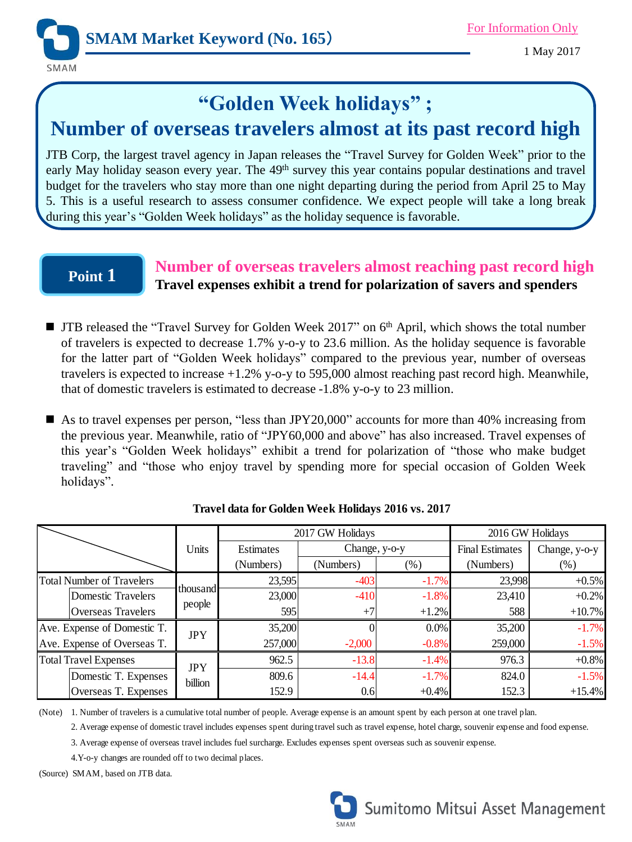

1 May 2017

# **"Golden Week holidays" ;**

# **Number of overseas travelers almost at its past record high**

JTB Corp, the largest travel agency in Japan releases the "Travel Survey for Golden Week" prior to the early May holiday season every year. The 49<sup>th</sup> survey this year contains popular destinations and travel budget for the travelers who stay more than one night departing during the period from April 25 to May 5. This is a useful research to assess consumer confidence. We expect people will take a long break during this year's "Golden Week holidays" as the holiday sequence is favorable.

### **Point 1**

### **Number of overseas travelers almost reaching past record high Travel expenses exhibit a trend for polarization of savers and spenders**

- JTB released the "Travel Survey for Golden Week 2017" on 6<sup>th</sup> April, which shows the total number of travelers is expected to decrease 1.7% y-o-y to 23.6 million. As the holiday sequence is favorable for the latter part of "Golden Week holidays" compared to the previous year, number of overseas travelers is expected to increase +1.2% y-o-y to 595,000 almost reaching past record high. Meanwhile, that of domestic travelers is estimated to decrease -1.8% y-o-y to 23 million.
- As to travel expenses per person, "less than JPY20,000" accounts for more than 40% increasing from the previous year. Meanwhile, ratio of "JPY60,000 and above" has also increased. Travel expenses of this year's "Golden Week holidays" exhibit a trend for polarization of "those who make budget traveling" and "those who enjoy travel by spending more for special occasion of Golden Week holidays".

|                                  | Units                 | 2017 GW Holidays |               |          | 2016 GW Holidays       |               |
|----------------------------------|-----------------------|------------------|---------------|----------|------------------------|---------------|
|                                  |                       | Estimates        | Change, y-o-y |          | <b>Final Estimates</b> | Change, y-o-y |
|                                  |                       | (Numbers)        | (Numbers)     | $(\%)$   | (Numbers)              | $(\%)$        |
| <b>Total Number of Travelers</b> | thousand<br>people    | 23,595           | $-403$        | $-1.7\%$ | 23,998                 | $+0.5%$       |
| Domestic Travelers               |                       | 23,000           | $-410$        | $-1.8%$  | 23,410                 | $+0.2%$       |
| <b>Overseas Travelers</b>        |                       | 595              | $+7$          | $+1.2%$  | 588                    | $+10.7%$      |
| Ave. Expense of Domestic T.      | <b>JPY</b>            | 35,200           |               | $0.0\%$  | 35,200                 | $-1.7%$       |
| Ave. Expense of Overseas T.      |                       | 257,000          | $-2,000$      | $-0.8%$  | 259,000                | $-1.5%$       |
| Total Travel Expenses            | <b>JPY</b><br>billion | 962.5            | $-13.8$       | $-1.4%$  | 976.3                  | $+0.8%$       |
| Domestic T. Expenses             |                       | 809.6            | $-14.4$       | $-1.7%$  | 824.0                  | $-1.5%$       |
| Overseas T. Expenses             |                       | 152.9            | 0.6           | $+0.4%$  | 152.3                  | $+15.4%$      |

**Travel data for Golden Week Holidays 2016 vs. 2017**

(Note) 1. Number of travelers is a cumulative total number of people. Average expense is an amount spent by each person at one travel plan.

2. Average expense of domestic travel includes expenses spent during travel such as travel expense, hotel charge, souvenir expense and food expense.

3. Average expense of overseas travel includes fuel surcharge. Excludes expenses spent overseas such as souvenir expense.

4.Y-o-y changes are rounded off to two decimal places.

(Source) SMAM, based on JTB data.